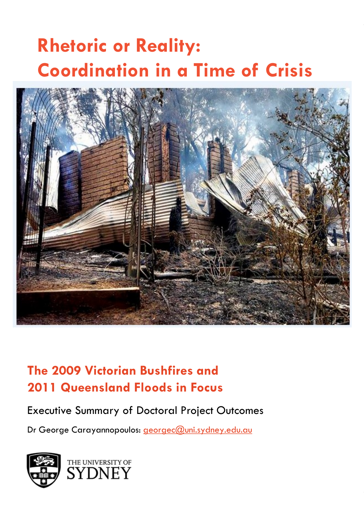# **Rhetoric or Reality: Coordination in a Time of Crisis**



### **The 2009 Victorian Bushfires and 2011 Queensland Floods in Focus**

#### Executive Summary of Doctoral Project Outcomes

Dr George Carayannopoulos: [georgec@uni.sydney.edu.au](mailto:georgec@uni.sydney.edu.au)

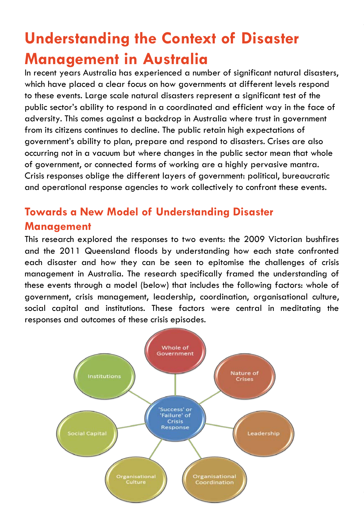## **Understanding the Context of Disaster Management in Australia**

In recent years Australia has experienced a number of significant natural disasters, which have placed a clear focus on how governments at different levels respond to these events. Large scale natural disasters represent a significant test of the public sector's ability to respond in a coordinated and efficient way in the face of adversity. This comes against a backdrop in Australia where trust in government from its citizens continues to decline. The public retain high expectations of government's ability to plan, prepare and respond to disasters. Crises are also occurring not in a vacuum but where changes in the public sector mean that whole of government, or connected forms of working are a highly pervasive mantra. Crisis responses oblige the different layers of government: political, bureaucratic and operational response agencies to work collectively to confront these events.

### **Towards a New Model of Understanding Disaster Management**

This research explored the responses to two events: the 2009 Victorian bushfires and the 2011 Queensland floods by understanding how each state confronted each disaster and how they can be seen to epitomise the challenges of crisis management in Australia. The research specifically framed the understanding of these events through a model (below) that includes the following factors: whole of government, crisis management, leadership, coordination, organisational culture, social capital and institutions. These factors were central in meditating the responses and outcomes of these crisis episodes.

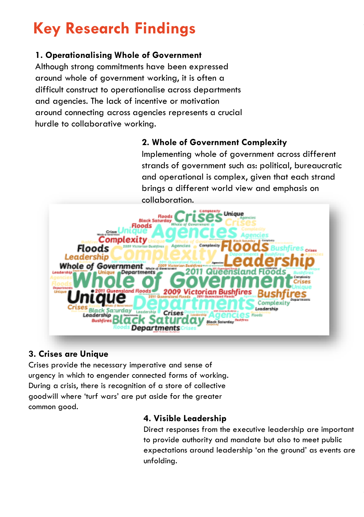## **Key Research Findings**

#### **1. Operationalising Whole of Government**

Although strong commitments have been expressed around whole of government working, it is often a difficult construct to operationalise across departments and agencies. The lack of incentive or motivation around connecting across agencies represents a crucial hurdle to collaborative working.

#### **2. Whole of Government Complexity**

Implementing whole of government across different strands of government such as: political, bureaucratic and operational is complex, given that each strand brings a different world view and emphasis on collaboration.



#### **3. Crises are Unique**

Crises provide the necessary imperative and sense of urgency in which to engender connected forms of working. During a crisis, there is recognition of a store of collective goodwill where 'turf wars' are put aside for the greater common good.

#### **4. Visible Leadership**

Direct responses from the executive leadership are important to provide authority and mandate but also to meet public expectations around leadership 'on the ground' as events are unfolding.